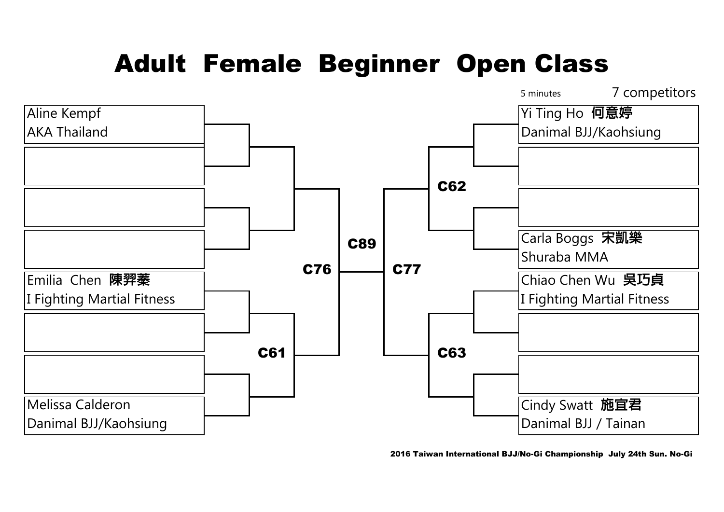## Adult Female Beginner Open Class



2016 Taiwan International BJJ/No-Gi Championship July 24th Sun. No-Gi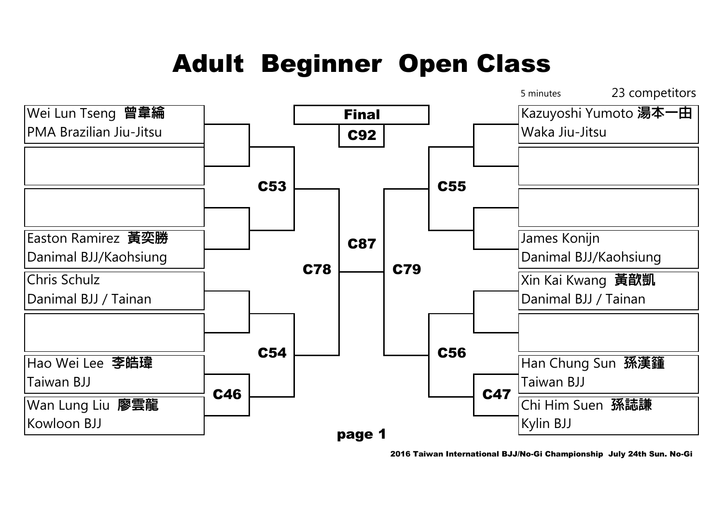## Adult Beginner Open Class



2016 Taiwan International BJJ/No-Gi Championship July 24th Sun. No-Gi